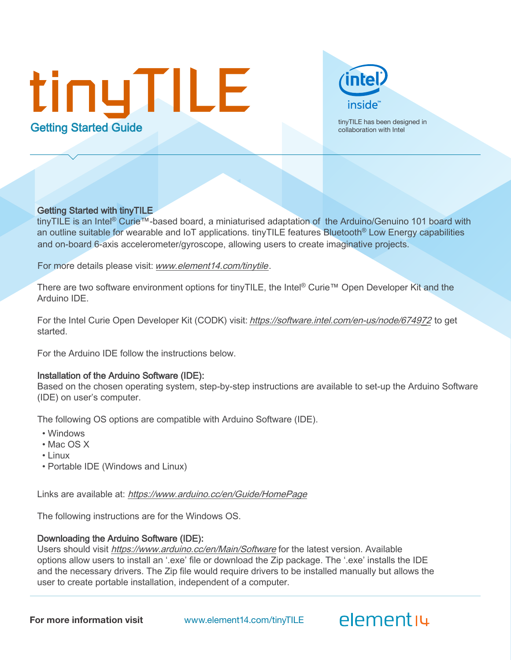# tinyTILE **timyTILE has been designed in**<br> **Cetting Started Guide** collaboration with Intel



#### Getting Started with tinyTILE

tinyTILE is an Intel® Curie™-based board, a miniaturised adaptation of the Arduino/Genuino 101 board with an outline suitable for wearable and IoT applications. tinyTILE features Bluetooth® Low Energy capabilities and on-board 6-axis accelerometer/gyroscope, allowing users to create imaginative projects.

For more details please visit: [www.element14.com/tinytil](www.element14.com/tinyTile)e.

There are two software environment options for tinyTILE, the Intel® Curie™ Open Developer Kit and the Arduino IDE.

For the Intel Curie Open Developer Kit (CODK) visit: [https://software.intel.com/en-us/node/674972](http://www.intel.com/curieodk) to get started.

For the Arduino IDE follow the instructions below.

### Installation of the Arduino Software (IDE):

Based on the chosen operating system, step-by-step instructions are available to set-up the Arduino Software (IDE) on user's computer.

The following OS options are compatible with Arduino Software (IDE).

- Windows
- Mac OS X
- Linux
- Portable IDE (Windows and Linux)

Links are available at: https://www.arduino.cc/en/Guide/HomePage

The following instructions are for the Windows OS.

### Downloading the Arduino Software (IDE):

Users should visit <https://www.arduino.cc/en/Main/Software> for the latest version. Available options allow users to install an '.exe' file or download the Zip package. The '.exe' installs the IDE and the necessary drivers. The Zip file would require drivers to be installed manually but allows the user to create portable installation, independent of a computer.

For more information visit www.element14.com/tinyTILE

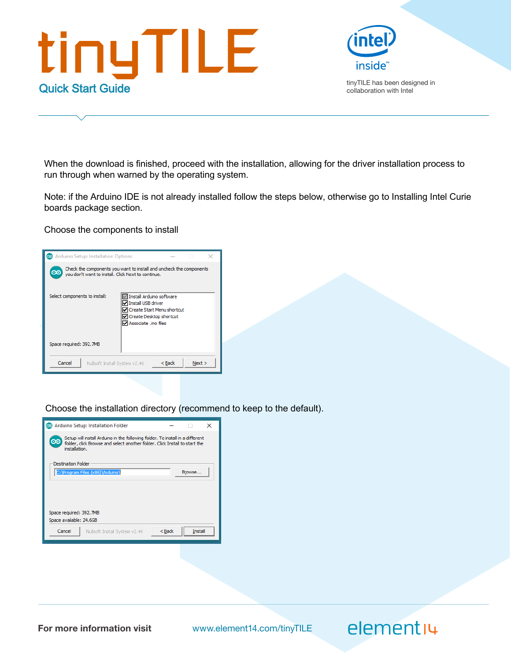



When the download is finished, proceed with the installation, allowing for the driver installation process to run through when warned by the operating system.

Note: if the Arduino IDE is not already installed follow the steps below, otherwise go to Installing Intel Curie boards package section.

Choose the components to install



Choose the installation directory (recommend to keep to the default).



For more information visit www.element14.com/tinyTILE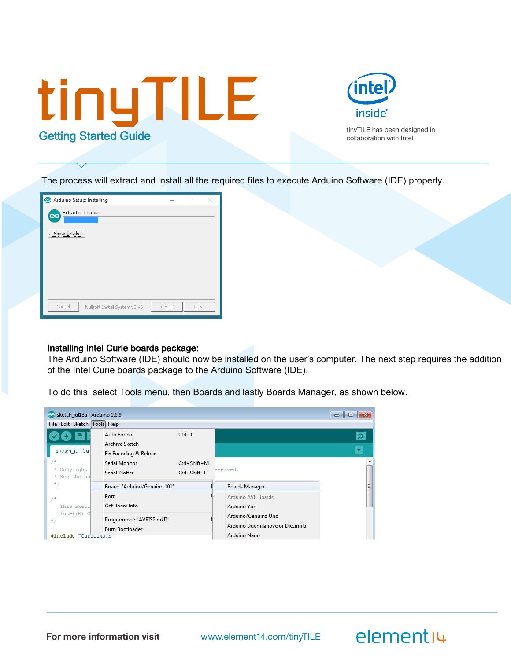



The process will extract and install all the required files to execute Arduino Software (IDE) properly.



#### Installing Intel Curie boards package:

The Arduino Software (IDE) should now be installed on the user's computer. The next step requires the addition of the Intel Curie boards package to the Arduino Software (IDE).

To do this, select Tools menu, then Boards and lastly Boards Manager, as shown below.



For more information visit www.element14.com/tinyTILE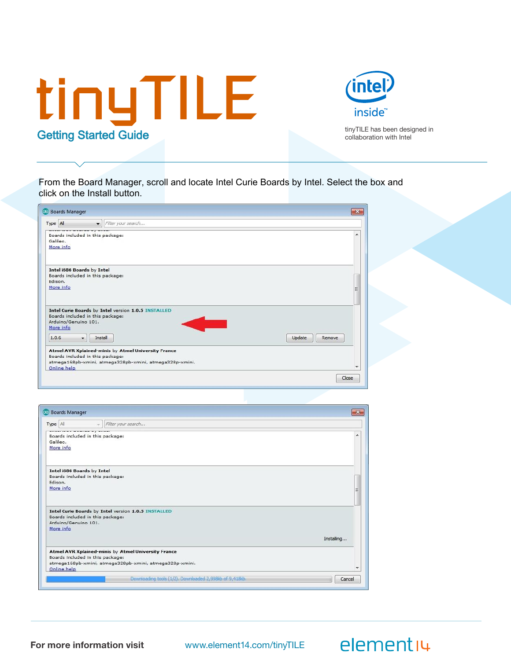



From the Board Manager, scroll and locate Intel Curie Boards by Intel. Select the box and click on the Install button.

| $\mathbf{x}$     |
|------------------|
|                  |
| ۸                |
| E                |
| Update<br>Remove |
| ٠                |
|                  |

| CO Boards Manager                                                                                                                                                 | $-x$ |
|-------------------------------------------------------------------------------------------------------------------------------------------------------------------|------|
| Filter your search<br>Type All<br>$\sim$                                                                                                                          |      |
| Boards included in this package:<br>Galileo.<br>More info                                                                                                         | ▲    |
| Intel i686 Boards by Intel<br>Boards included in this package:<br>Edison.<br>More info                                                                            | Ξ    |
| Intel Curie Boards by Intel version 1.0.5 INSTALLED<br>Boards included in this package:<br>Arduino/Genuino 101.<br>More info<br>Installing                        |      |
|                                                                                                                                                                   |      |
| Atmel AVR Xplained-minis by Atmel University France<br>Boards included in this package:<br>atmega168pb-xmini, atmega328pb-xmini, atmega328p-xmini.<br>Online help |      |
| Downloading tools (1/2). Downloaded 2,998kb of 9,418kb.<br>Cancel                                                                                                 |      |

For more information visit www.element14.com/tinyTILE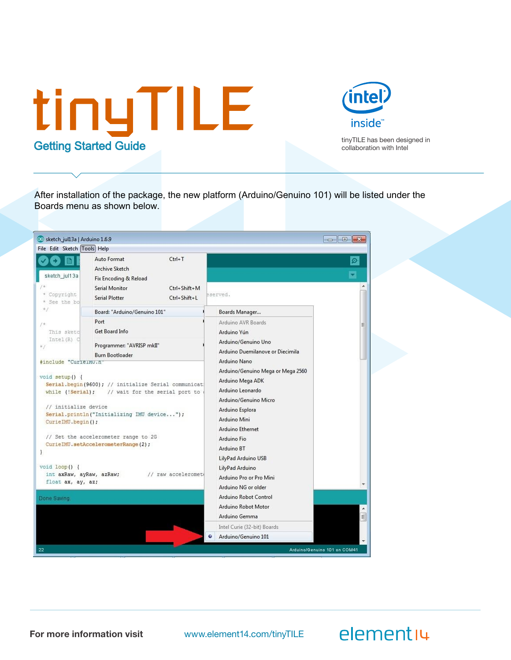



After installation of the package, the new platform (Arduino/Genuino 101) will be listed under the Boards menu as shown below.

| oo sketch_jul13a   Arduino 1.6.9                                                                                                                                                                  |                                                                                                                                                                                                                                          |                                                                                                                                                                                                                                                                                                                                                    | o le<br>$-22$                                            |
|---------------------------------------------------------------------------------------------------------------------------------------------------------------------------------------------------|------------------------------------------------------------------------------------------------------------------------------------------------------------------------------------------------------------------------------------------|----------------------------------------------------------------------------------------------------------------------------------------------------------------------------------------------------------------------------------------------------------------------------------------------------------------------------------------------------|----------------------------------------------------------|
| File Edit Sketch Tools Help                                                                                                                                                                       |                                                                                                                                                                                                                                          |                                                                                                                                                                                                                                                                                                                                                    |                                                          |
| sketch_jul13a                                                                                                                                                                                     | Auto Format<br>$Ctrl+T$<br>Archive Sketch<br>Fix Encoding & Reload                                                                                                                                                                       |                                                                                                                                                                                                                                                                                                                                                    | O.                                                       |
| Copyright<br>* See the bo                                                                                                                                                                         | Serial Monitor<br>Ctrl+Shift+M<br><b>Serial Plotter</b><br>Ctrl+Shift+L                                                                                                                                                                  | eserved.                                                                                                                                                                                                                                                                                                                                           |                                                          |
| ×J                                                                                                                                                                                                | Board: "Arduino/Genuino 101"                                                                                                                                                                                                             | Boards Manager                                                                                                                                                                                                                                                                                                                                     |                                                          |
| $1*$<br>This sketc<br>Intel (R) C<br>$*1$                                                                                                                                                         | Port<br>Get Board Info<br>Programmer: "AVRISP mkII"<br><b>Burn Bootloader</b>                                                                                                                                                            | Arduino AVR Boards<br>Arduino Yún<br>Arduino/Genuino Uno<br>Arduino Duemilanove or Diecimila                                                                                                                                                                                                                                                       | Ë                                                        |
| #include "CurielMU.n<br>$void setup()$ {<br>while (!Serial);<br>// initialize device<br>CurieIMU.begin();<br>}<br>$void loop()$ {<br>int axRaw, ayRaw, azRaw;<br>float ax, ay, az;<br>Done Saving | Serial.begin(9600); // initialize Serial communicat;<br>// wait for the serial port to<br>Serial.println("Initializing IMU device");<br>// Set the accelerometer range to 2G<br>CurieIMU.setAccelerometerRange(2);<br>// raw acceleromet | Arduino Nano<br>Arduino/Genuino Mega or Mega 2560<br>Arduino Mega ADK<br>Arduino Leonardo<br>Arduino/Genuino Micro<br>Arduino Esplora<br>Arduino Mini<br>Arduino Ethernet<br>Arduino Fio<br>Arduino BT<br>LilyPad Arduino USB<br>LilyPad Arduino<br>Arduino Pro or Pro Mini<br>Arduino NG or older<br>Arduino Robot Control<br>Arduino Robot Motor |                                                          |
|                                                                                                                                                                                                   |                                                                                                                                                                                                                                          | Arduino Gemma<br>Intel Curie (32-bit) Boards<br>Arduino/Genuino 101<br>۰                                                                                                                                                                                                                                                                           | $\equiv$                                                 |
| 22                                                                                                                                                                                                |                                                                                                                                                                                                                                          |                                                                                                                                                                                                                                                                                                                                                    | $\overline{\phantom{a}}$<br>Arduino/Genuino 101 on COM41 |

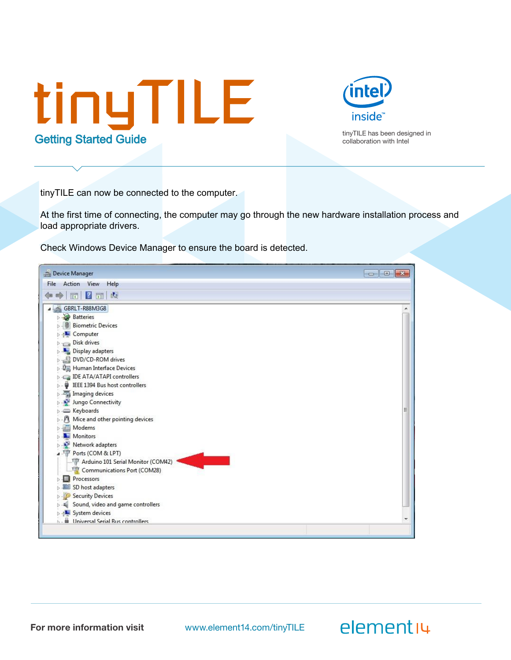



elementiu

tinyTILE can now be connected to the computer.

At the first time of connecting, the computer may go through the new hardware installation process and load appropriate drivers.

Check Windows Device Manager to ensure the board is detected.

| Device Manager                                     |  |
|----------------------------------------------------|--|
| Action View<br>Help<br>File                        |  |
| $\vert \mathbf{z} \vert$<br>國<br>同<br>同            |  |
| GBRLT-R88M3G8                                      |  |
| <b>Batteries</b>                                   |  |
| <b>&amp;</b> Biometric Devices                     |  |
| Computer                                           |  |
| Disk drives<br>$\Box$                              |  |
| Display adapters                                   |  |
| DVD/CD-ROM drives                                  |  |
| ▷ ↓ ↓ Human Interface Devices                      |  |
| <b>DE ATA/ATAPI controllers</b>                    |  |
| <b>D</b> · <b>W</b> IEEE 1394 Bus host controllers |  |
| <b>Managing devices</b>                            |  |
| Jungo Connectivity                                 |  |
|                                                    |  |
| M Mice and other pointing devices                  |  |
| Modems                                             |  |
| Monitors                                           |  |
| Network adapters                                   |  |
| 4 Ports (COM & LPT)                                |  |
| Arduino 101 Serial Monitor (COM42)                 |  |
| Communications Port (COM28)                        |  |
| Processors                                         |  |
| SD host adapters                                   |  |
| Security Devices                                   |  |
| Sound, video and game controllers                  |  |
| System devices                                     |  |
| Universal Serial Bus controllers                   |  |
|                                                    |  |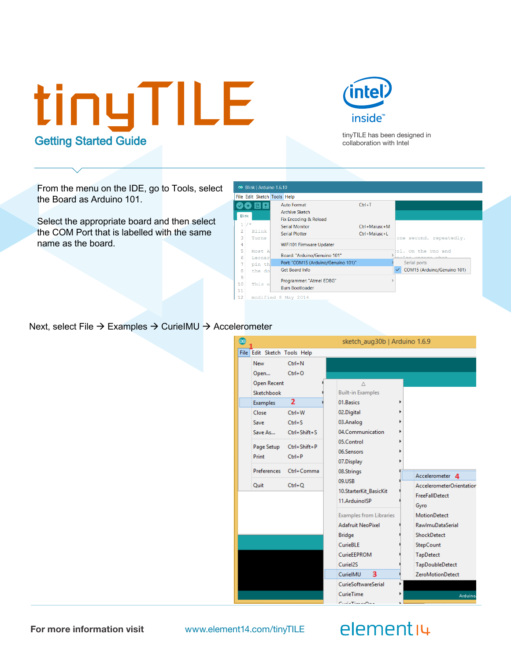



From the menu on the IDE, go to Tools, select the Board as Arduino 101.

Select the appropriate board and then select the COM Port that is labelled with the same name as the board.



Next, select File  $\rightarrow$  Examples  $\rightarrow$  CurieIMU  $\rightarrow$  Accelerometer

| $\circ$ |                             |                                       | sketch_aug30b   Arduino 1.6.9                                                                                             |                                                                                                                   |
|---------|-----------------------------|---------------------------------------|---------------------------------------------------------------------------------------------------------------------------|-------------------------------------------------------------------------------------------------------------------|
|         | File Edit Sketch Tools Help |                                       |                                                                                                                           |                                                                                                                   |
|         | <b>New</b><br>Open          | $Ctrl + N$<br>$Ctrl + O$              |                                                                                                                           |                                                                                                                   |
|         | Open Recent<br>Sketchbook   |                                       | Δ<br><b>Built-in Examples</b>                                                                                             |                                                                                                                   |
|         | Examples                    | $\overline{2}$                        | 01.Basics                                                                                                                 |                                                                                                                   |
|         | Close                       | $Ctrl + W$                            | 02.Digital                                                                                                                |                                                                                                                   |
|         | Save                        | $Ctrl + S$<br>Save As Ctrl+Shift+S    | 03.Analog<br>04.Communication                                                                                             |                                                                                                                   |
|         | Print                       | Page Setup Ctrl+Shift+P<br>$Ctrl + P$ | 05.Control<br>06.Sensors<br>07.Display                                                                                    |                                                                                                                   |
|         | Preferences                 | Ctrl+Comma                            | 08.Strings                                                                                                                | Accelerometer 4                                                                                                   |
|         | <b>Quit</b>                 | $Ctrl + Q$                            | 09.USB<br>10.StarterKit_BasicKit<br>11.ArduinoISP                                                                         | AccelerometerOrientation<br><b>FreeFallDetect</b><br>Gyro                                                         |
|         |                             |                                       | <b>Examples from Libraries</b><br><b>Adafruit NeoPixel</b><br><b>Bridge</b><br><b>CurieBLE</b><br>CurieEEPROM<br>Curiel2S | <b>MotionDetect</b><br><b>RawlmuDataSerial</b><br>ShockDetect<br>StepCount<br><b>TapDetect</b><br>TapDoubleDetect |
|         |                             |                                       | 3<br>CurielMU                                                                                                             | <b>ZeroMotionDetect</b>                                                                                           |
|         |                             |                                       | <b>CurieSoftwareSerial</b><br>CurieTime<br>$C_1$ and a $TC_2$ and a surface $C_1$                                         | Arduino.                                                                                                          |

For more information visit www.element14.com/tinyTILE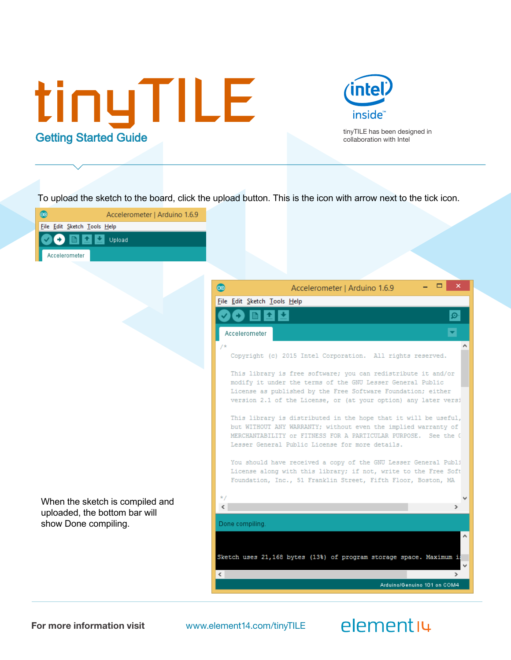



To upload the sketch to the board, click the upload button. This is the icon with arrow next to the tick icon.



For more information visit www.element14.com/tinyTILE